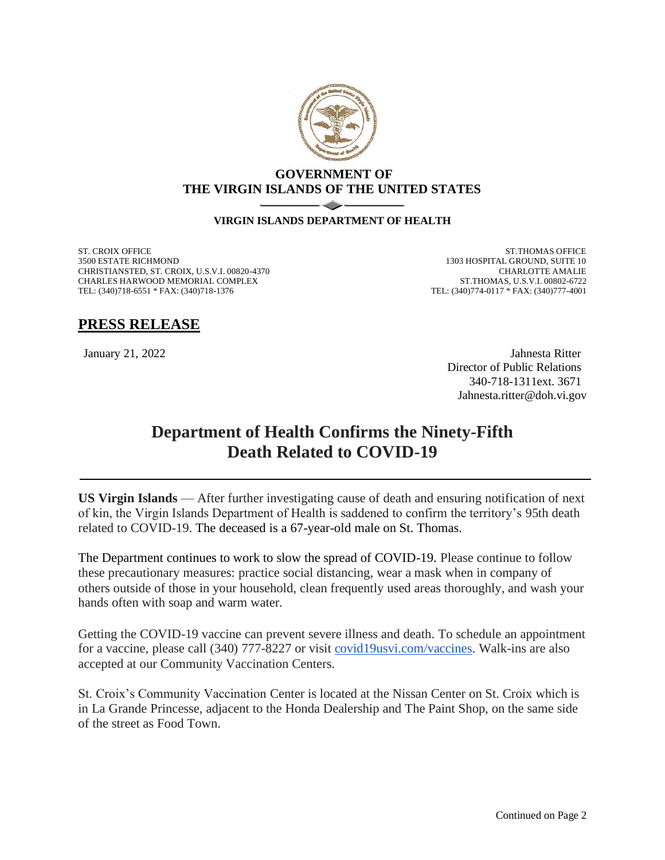

## **GOVERNMENT OF THE VIRGIN ISLANDS OF THE UNITED STATES**

## **VIRGIN ISLANDS DEPARTMENT OF HEALTH**

ST. CROIX OFFICE 3500 ESTATE RICHMOND CHRISTIANSTED, ST. CROIX, U.S.V.I. 00820-4370 CHARLES HARWOOD MEMORIAL COMPLEX TEL: (340)718-6551 \* FAX: (340)718-1376

ST.THOMAS OFFICE 1303 HOSPITAL GROUND, SUITE 10 CHARLOTTE AMALIE ST.THOMAS, U.S.V.I. 00802-6722 TEL: (340)774-0117 \* FAX: (340)777-4001

## **PRESS RELEASE**

January 21, 2022 Jahnesta Ritter Director of Public Relations 340-718-1311ext. 3671 Jahnesta.ritter@doh.vi.gov

## **Department of Health Confirms the Ninety-Fifth Death Related to COVID-19**

**US Virgin Islands** — After further investigating cause of death and ensuring notification of next of kin, the Virgin Islands Department of Health is saddened to confirm the territory's 95th death related to COVID-19. The deceased is a 67-year-old male on St. Thomas.

The Department continues to work to slow the spread of COVID-19. Please continue to follow these precautionary measures: practice social distancing, wear a mask when in company of others outside of those in your household, clean frequently used areas thoroughly, and wash your hands often with soap and warm water.

Getting the COVID-19 vaccine can prevent severe illness and death. To schedule an appointment for a vaccine, please call (340) 777-8227 or visit [covid19usvi.com/vaccines.](http://covid19usvi.com/vaccines) Walk-ins are also accepted at our Community Vaccination Centers.

St. Croix's Community Vaccination Center is located at the Nissan Center on St. Croix which is in La Grande Princesse, adjacent to the Honda Dealership and The Paint Shop, on the same side of the street as Food Town.